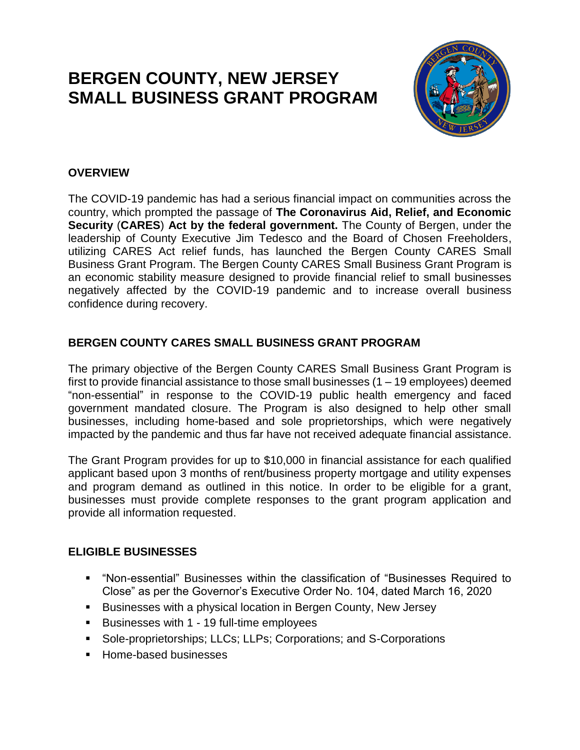# **BERGEN COUNTY, NEW JERSEY SMALL BUSINESS GRANT PROGRAM**



### **OVERVIEW**

The COVID-19 pandemic has had a serious financial impact on communities across the country, which prompted the passage of **The Coronavirus Aid, Relief, and Economic Security** (**CARES**) **Act by the federal government.** The County of Bergen, under the leadership of County Executive Jim Tedesco and the Board of Chosen Freeholders, utilizing CARES Act relief funds, has launched the Bergen County CARES Small Business Grant Program. The Bergen County CARES Small Business Grant Program is an economic stability measure designed to provide financial relief to small businesses negatively affected by the COVID-19 pandemic and to increase overall business confidence during recovery.

## **BERGEN COUNTY CARES SMALL BUSINESS GRANT PROGRAM**

The primary objective of the Bergen County CARES Small Business Grant Program is first to provide financial assistance to those small businesses (1 – 19 employees) deemed "non-essential" in response to the COVID-19 public health emergency and faced government mandated closure. The Program is also designed to help other small businesses, including home-based and sole proprietorships, which were negatively impacted by the pandemic and thus far have not received adequate financial assistance.

The Grant Program provides for up to \$10,000 in financial assistance for each qualified applicant based upon 3 months of rent/business property mortgage and utility expenses and program demand as outlined in this notice. In order to be eligible for a grant, businesses must provide complete responses to the grant program application and provide all information requested.

### **ELIGIBLE BUSINESSES**

- "Non-essential" Businesses within the classification of "Businesses Required to Close" as per the Governor's Executive Order No. 104, dated March 16, 2020
- Businesses with a physical location in Bergen County, New Jersey
- Businesses with 1 19 full-time employees
- Sole-proprietorships; LLCs; LLPs; Corporations; and S-Corporations
- Home-based businesses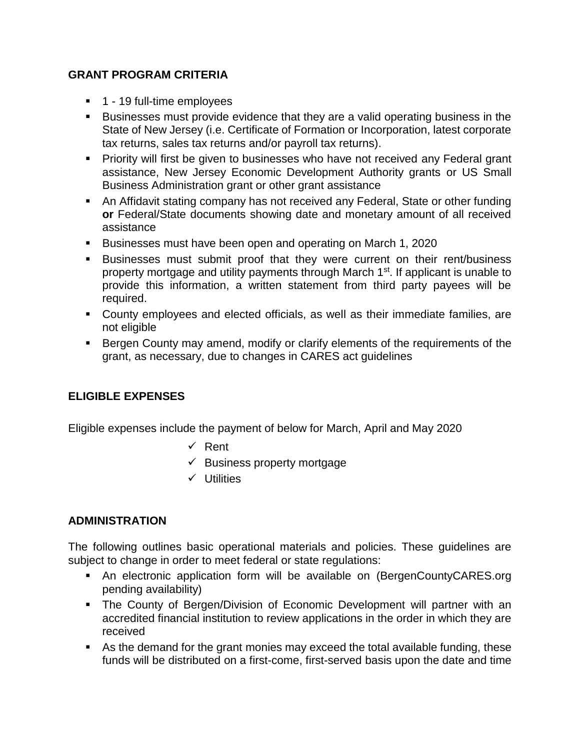#### **GRANT PROGRAM CRITERIA**

- 1 19 full-time employees
- Businesses must provide evidence that they are a valid operating business in the State of New Jersey (i.e. Certificate of Formation or Incorporation, latest corporate tax returns, sales tax returns and/or payroll tax returns).
- **Priority will first be given to businesses who have not received any Federal grant** assistance, New Jersey Economic Development Authority grants or US Small Business Administration grant or other grant assistance
- An Affidavit stating company has not received any Federal, State or other funding **or** Federal/State documents showing date and monetary amount of all received assistance
- Businesses must have been open and operating on March 1, 2020
- **EXEL SE IN SET SET IS A SET IS EXET** FOSSES FUSINESS **EXECUTE:** Business FUSINESS property mortgage and utility payments through March 1<sup>st</sup>. If applicant is unable to provide this information, a written statement from third party payees will be required.
- County employees and elected officials, as well as their immediate families, are not eligible
- Bergen County may amend, modify or clarify elements of the requirements of the grant, as necessary, due to changes in CARES act guidelines

### **ELIGIBLE EXPENSES**

Eligible expenses include the payment of below for March, April and May 2020

- ✓ Rent
- $\checkmark$  Business property mortgage
- ✓ Utilities

### **ADMINISTRATION**

The following outlines basic operational materials and policies. These guidelines are subject to change in order to meet federal or state regulations:

- An electronic application form will be available on (BergenCountyCARES.org pending availability)
- **The County of Bergen/Division of Economic Development will partner with an** accredited financial institution to review applications in the order in which they are received
- As the demand for the grant monies may exceed the total available funding, these funds will be distributed on a first-come, first-served basis upon the date and time